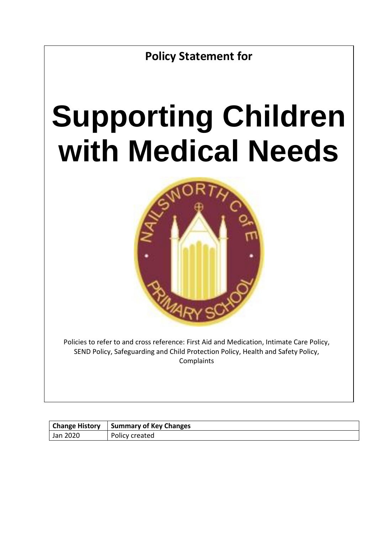**Policy Statement for**

# **Supporting Children with Medical Needs**



Policies to refer to and cross reference: First Aid and Medication, Intimate Care Policy, SEND Policy, Safeguarding and Child Protection Policy, Health and Safety Policy, **Complaints** 

| <b>Change History</b> | Summary of Key Changes |
|-----------------------|------------------------|
| Jan 2020              | Policy created         |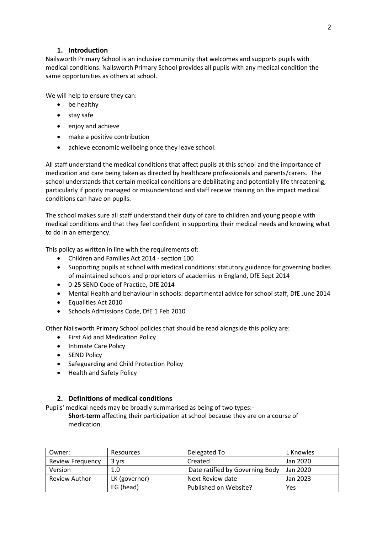# **1. Introduction**

Nailsworth Primary School is an inclusive community that welcomes and supports pupils with medical conditions. Nailsworth Primary School provides all pupils with any medical condition the same opportunities as others at school.

We will help to ensure they can:

- be healthy
- stay safe
- enjoy and achieve
- make a positive contribution
- achieve economic wellbeing once they leave school.

All staff understand the medical conditions that affect pupils at this school and the importance of medication and care being taken as directed by healthcare professionals and parents/carers. The school understands that certain medical conditions are debilitating and potentially life threatening, particularly if poorly managed or misunderstood and staff receive training on the impact medical conditions can have on pupils.

The school makes sure all staff understand their duty of care to children and young people with medical conditions and that they feel confident in supporting their medical needs and knowing what to do in an emergency.

This policy as written in line with the requirements of:

- Children and Families Act 2014 section 100
- Supporting pupils at school with medical conditions: statutory guidance for governing bodies of maintained schools and proprietors of academies in England, DfE Sept 2014
- 0-25 SEND Code of Practice, DfE 2014
- Mental Health and behaviour in schools: departmental advice for school staff, DfE June 2014
- Equalities Act 2010
- Schools Admissions Code, DfE 1 Feb 2010

Other Nailsworth Primary School policies that should be read alongside this policy are:

- First Aid and Medication Policy
- Intimate Care Policy
- SEND Policy
- Safeguarding and Child Protection Policy
- Health and Safety Policy

# **2. Definitions of medical conditions**

Pupils' medical needs may be broadly summarised as being of two types:-

**Short-term** affecting their participation at school because they are on a course of medication.

| Owner:                  | Resources     | Delegated To                    | L Knowles |
|-------------------------|---------------|---------------------------------|-----------|
| <b>Review Frequency</b> | 3 vrs         | Created                         | Jan 2020  |
| Version                 | 1.0           | Date ratified by Governing Body | Jan 2020  |
| <b>Review Author</b>    | LK (governor) | Next Review date                | Jan 2023  |
|                         | EG (head)     | Published on Website?           | Yes       |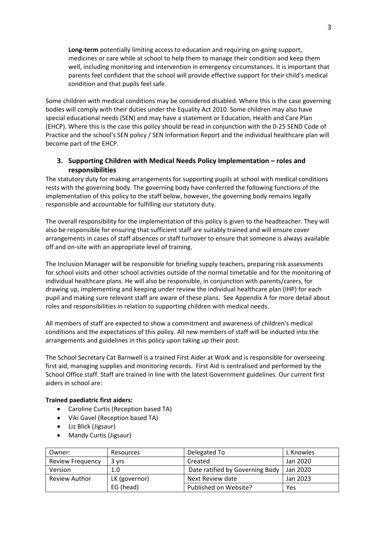**Long-term** potentially limiting access to education and requiring on-going support, medicines or care while at school to help them to manage their condition and keep them well, including monitoring and intervention in emergency circumstances. It is important that parents feel confident that the school will provide effective support for their child's medical condition and that pupils feel safe.

Some children with medical conditions may be considered disabled. Where this is the case governing bodies will comply with their duties under the Equality Act 2010. Some children may also have special educational needs (SEN) and may have a statement or Education, Health and Care Plan (EHCP). Where this is the case this policy should be read in conjunction with the 0-25 SEND Code of Practice and the school's SEN policy / SEN Information Report and the individual healthcare plan will become part of the EHCP.

# **3. Supporting Children with Medical Needs Policy Implementation – roles and responsibilities**

The statutory duty for making arrangements for supporting pupils at school with medical conditions rests with the governing body. The governing body have conferred the following functions of the implementation of this policy to the staff below, however, the governing body remains legally responsible and accountable for fulfilling our statutory duty.

The overall responsibility for the implementation of this policy is given to the headteacher. They will also be responsible for ensuring that sufficient staff are suitably trained and will ensure cover arrangements in cases of staff absences or staff turnover to ensure that someone is always available off and on-site with an appropriate level of training.

The Inclusion Manager will be responsible for briefing supply teachers, preparing risk assessments for school visits and other school activities outside of the normal timetable and for the monitoring of individual healthcare plans. He will also be responsible, in conjunction with parents/carers, for drawing up, implementing and keeping under review the individual healthcare plan (IHP) for each pupil and making sure relevant staff are aware of these plans. See Appendix A for more detail about roles and responsibilities in relation to supporting children with medical needs.

All members of staff are expected to show a commitment and awareness of children's medical conditions and the expectations of this policy. All new members of staff will be inducted into the arrangements and guidelines in this policy upon taking up their post.

The School Secretary Cat Barnwell is a trained First Aider at Work and is responsible for overseeing first aid, managing supplies and monitoring records. First Aid is centralised and performed by the School Office staff. Staff are trained in line with the latest Government guidelines. Our current first aiders in school are:

#### **Trained paediatric first aiders:**

- Caroline Curtis (Reception based TA)
- Viki Gavel (Reception based TA)
- Liz Blick (Jigsaur)
- Mandy Curtis (Jigsaur)

| Owner:                  | Resources     | Delegated To                    | L Knowles |
|-------------------------|---------------|---------------------------------|-----------|
| <b>Review Frequency</b> | 3 yrs         | Created                         | Jan 2020  |
| Version                 | 1.0           | Date ratified by Governing Body | Jan 2020  |
| <b>Review Author</b>    | LK (governor) | Next Review date                | Jan 2023  |
|                         | EG (head)     | Published on Website?           | Yes       |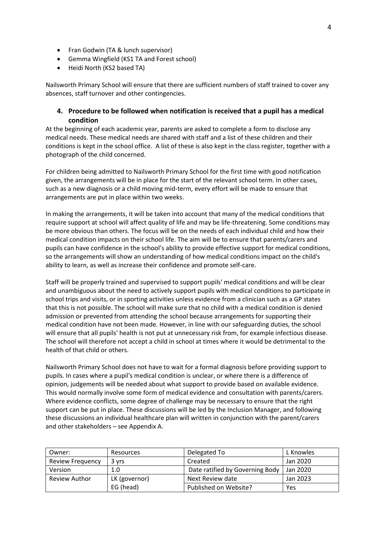- Fran Godwin (TA & lunch supervisor)
- Gemma Wingfield (KS1 TA and Forest school)
- Heidi North (KS2 based TA)

Nailsworth Primary School will ensure that there are sufficient numbers of staff trained to cover any absences, staff turnover and other contingencies.

# **4. Procedure to be followed when notification is received that a pupil has a medical condition**

At the beginning of each academic year, parents are asked to complete a form to disclose any medical needs. These medical needs are shared with staff and a list of these children and their conditions is kept in the school office. A list of these is also kept in the class register, together with a photograph of the child concerned.

For children being admitted to Nailsworth Primary School for the first time with good notification given, the arrangements will be in place for the start of the relevant school term. In other cases, such as a new diagnosis or a child moving mid-term, every effort will be made to ensure that arrangements are put in place within two weeks.

In making the arrangements, it will be taken into account that many of the medical conditions that require support at school will affect quality of life and may be life-threatening. Some conditions may be more obvious than others. The focus will be on the needs of each individual child and how their medical condition impacts on their school life. The aim will be to ensure that parents/carers and pupils can have confidence in the school's ability to provide effective support for medical conditions, so the arrangements will show an understanding of how medical conditions impact on the child's ability to learn, as well as increase their confidence and promote self-care.

Staff will be properly trained and supervised to support pupils' medical conditions and will be clear and unambiguous about the need to actively support pupils with medical conditions to participate in school trips and visits, or in sporting activities unless evidence from a clinician such as a GP states that this is not possible. The school will make sure that no child with a medical condition is denied admission or prevented from attending the school because arrangements for supporting their medical condition have not been made. However, in line with our safeguarding duties, the school will ensure that all pupils' health is not put at unnecessary risk from, for example infectious disease. The school will therefore not accept a child in school at times where it would be detrimental to the health of that child or others.

Nailsworth Primary School does not have to wait for a formal diagnosis before providing support to pupils. In cases where a pupil's medical condition is unclear, or where there is a difference of opinion, judgements will be needed about what support to provide based on available evidence. This would normally involve some form of medical evidence and consultation with parents/carers. Where evidence conflicts, some degree of challenge may be necessary to ensure that the right support can be put in place. These discussions will be led by the Inclusion Manager, and following these discussions an individual healthcare plan will written in conjunction with the parent/carers and other stakeholders – see Appendix A.

| Owner:                  | Resources     | Delegated To                    | L Knowles |
|-------------------------|---------------|---------------------------------|-----------|
| <b>Review Frequency</b> | 3 vrs         | Created                         | Jan 2020  |
| Version                 | 1.0           | Date ratified by Governing Body | Jan 2020  |
| <b>Review Author</b>    | LK (governor) | Next Review date                | Jan 2023  |
|                         | EG (head)     | Published on Website?           | Yes       |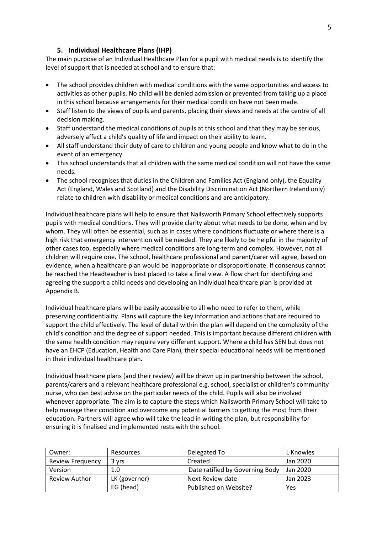# **5. Individual Healthcare Plans (IHP)**

The main purpose of an Individual Healthcare Plan for a pupil with medical needs is to identify the level of support that is needed at school and to ensure that:

- The school provides children with medical conditions with the same opportunities and access to activities as other pupils. No child will be denied admission or prevented from taking up a place in this school because arrangements for their medical condition have not been made.
- Staff listen to the views of pupils and parents, placing their views and needs at the centre of all decision making.
- Staff understand the medical conditions of pupils at this school and that they may be serious, adversely affect a child's quality of life and impact on their ability to learn.
- All staff understand their duty of care to children and young people and know what to do in the event of an emergency.
- This school understands that all children with the same medical condition will not have the same needs.
- The school recognises that duties in the Children and Families Act (England only), the Equality Act (England, Wales and Scotland) and the Disability Discrimination Act (Northern Ireland only) relate to children with disability or medical conditions and are anticipatory.

Individual healthcare plans will help to ensure that Nailsworth Primary School effectively supports pupils with medical conditions. They will provide clarity about what needs to be done, when and by whom. They will often be essential, such as in cases where conditions fluctuate or where there is a high risk that emergency intervention will be needed. They are likely to be helpful in the majority of other cases too, especially where medical conditions are long-term and complex. However, not all children will require one. The school, healthcare professional and parent/carer will agree, based on evidence, when a healthcare plan would be inappropriate or disproportionate. If consensus cannot be reached the Headteacher is best placed to take a final view. A flow chart for identifying and agreeing the support a child needs and developing an individual healthcare plan is provided at Appendix B.

Individual healthcare plans will be easily accessible to all who need to refer to them, while preserving confidentiality. Plans will capture the key information and actions that are required to support the child effectively. The level of detail within the plan will depend on the complexity of the child's condition and the degree of support needed. This is important because different children with the same health condition may require very different support. Where a child has SEN but does not have an EHCP (Education, Health and Care Plan), their special educational needs will be mentioned in their individual healthcare plan.

Individual healthcare plans (and their review) will be drawn up in partnership between the school, parents/carers and a relevant healthcare professional e.g. school, specialist or children's community nurse, who can best advise on the particular needs of the child. Pupils will also be involved whenever appropriate. The aim is to capture the steps which Nailsworth Primary School will take to help manage their condition and overcome any potential barriers to getting the most from their education. Partners will agree who will take the lead in writing the plan, but responsibility for ensuring it is finalised and implemented rests with the school.

| Owner:                  | Resources     | Delegated To                    | L Knowles |
|-------------------------|---------------|---------------------------------|-----------|
| <b>Review Frequency</b> | 3 vrs         | Created                         | Jan 2020  |
| Version                 | 1.0           | Date ratified by Governing Body | Jan 2020  |
| <b>Review Author</b>    | LK (governor) | Next Review date                | Jan 2023  |
|                         | EG (head)     | Published on Website?           | Yes       |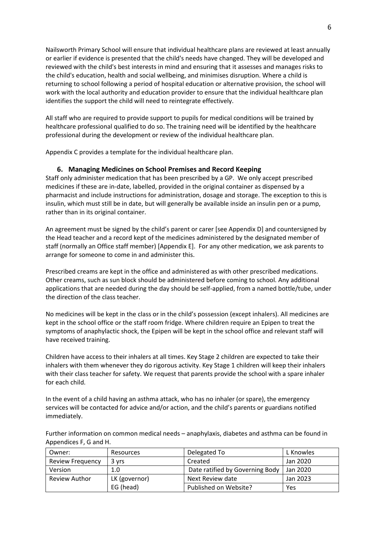Nailsworth Primary School will ensure that individual healthcare plans are reviewed at least annually or earlier if evidence is presented that the child's needs have changed. They will be developed and reviewed with the child's best interests in mind and ensuring that it assesses and manages risks to the child's education, health and social wellbeing, and minimises disruption. Where a child is returning to school following a period of hospital education or alternative provision, the school will work with the local authority and education provider to ensure that the individual healthcare plan identifies the support the child will need to reintegrate effectively.

All staff who are required to provide support to pupils for medical conditions will be trained by healthcare professional qualified to do so. The training need will be identified by the healthcare professional during the development or review of the individual healthcare plan.

Appendix C provides a template for the individual healthcare plan.

#### **6. Managing Medicines on School Premises and Record Keeping**

Staff only administer medication that has been prescribed by a GP. We only accept prescribed medicines if these are in-date, labelled, provided in the original container as dispensed by a pharmacist and include instructions for administration, dosage and storage. The exception to this is insulin, which must still be in date, but will generally be available inside an insulin pen or a pump, rather than in its original container.

An agreement must be signed by the child's parent or carer [see Appendix D] and countersigned by the Head teacher and a record kept of the medicines administered by the designated member of staff (normally an Office staff member) [Appendix E]. For any other medication, we ask parents to arrange for someone to come in and administer this.

Prescribed creams are kept in the office and administered as with other prescribed medications. Other creams, such as sun block should be administered before coming to school. Any additional applications that are needed during the day should be self-applied, from a named bottle/tube, under the direction of the class teacher.

No medicines will be kept in the class or in the child's possession (except inhalers). All medicines are kept in the school office or the staff room fridge. Where children require an Epipen to treat the symptoms of anaphylactic shock, the Epipen will be kept in the school office and relevant staff will have received training.

Children have access to their inhalers at all times. Key Stage 2 children are expected to take their inhalers with them whenever they do rigorous activity. Key Stage 1 children will keep their inhalers with their class teacher for safety. We request that parents provide the school with a spare inhaler for each child.

In the event of a child having an asthma attack, who has no inhaler (or spare), the emergency services will be contacted for advice and/or action, and the child's parents or guardians notified immediately.

Further information on common medical needs – anaphylaxis, diabetes and asthma can be found in Appendices F, G and H.

| Owner:                  | Resources     | Delegated To                    | L Knowles |
|-------------------------|---------------|---------------------------------|-----------|
| <b>Review Frequency</b> | 3 yrs         | Created                         | Jan 2020  |
| Version                 | 1.0           | Date ratified by Governing Body | Jan 2020  |
| <b>Review Author</b>    | LK (governor) | Next Review date                | Jan 2023  |
|                         | EG (head)     | Published on Website?           | Yes       |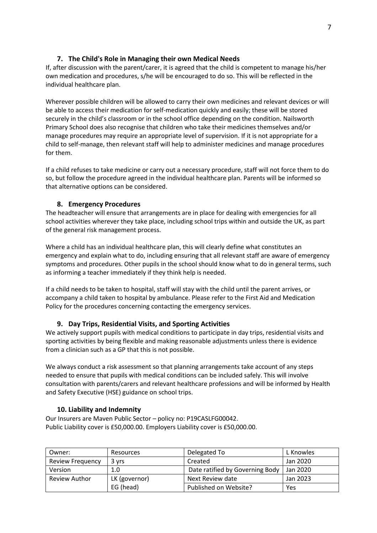# **7. The Child's Role in Managing their own Medical Needs**

If, after discussion with the parent/carer, it is agreed that the child is competent to manage his/her own medication and procedures, s/he will be encouraged to do so. This will be reflected in the individual healthcare plan.

Wherever possible children will be allowed to carry their own medicines and relevant devices or will be able to access their medication for self-medication quickly and easily; these will be stored securely in the child's classroom or in the school office depending on the condition. Nailsworth Primary School does also recognise that children who take their medicines themselves and/or manage procedures may require an appropriate level of supervision. If it is not appropriate for a child to self-manage, then relevant staff will help to administer medicines and manage procedures for them.

If a child refuses to take medicine or carry out a necessary procedure, staff will not force them to do so, but follow the procedure agreed in the individual healthcare plan. Parents will be informed so that alternative options can be considered.

# **8. Emergency Procedures**

The headteacher will ensure that arrangements are in place for dealing with emergencies for all school activities wherever they take place, including school trips within and outside the UK, as part of the general risk management process.

Where a child has an individual healthcare plan, this will clearly define what constitutes an emergency and explain what to do, including ensuring that all relevant staff are aware of emergency symptoms and procedures. Other pupils in the school should know what to do in general terms, such as informing a teacher immediately if they think help is needed.

If a child needs to be taken to hospital, staff will stay with the child until the parent arrives, or accompany a child taken to hospital by ambulance. Please refer to the First Aid and Medication Policy for the procedures concerning contacting the emergency services.

# **9. Day Trips, Residential Visits, and Sporting Activities**

We actively support pupils with medical conditions to participate in day trips, residential visits and sporting activities by being flexible and making reasonable adjustments unless there is evidence from a clinician such as a GP that this is not possible.

We always conduct a risk assessment so that planning arrangements take account of any steps needed to ensure that pupils with medical conditions can be included safely. This will involve consultation with parents/carers and relevant healthcare professions and will be informed by Health and Safety Executive (HSE) guidance on school trips.

# **10. Liability and Indemnity**

Our Insurers are Maven Public Sector – policy no: P19CASLFG00042. Public Liability cover is £50,000.00. Employers Liability cover is £50,000.00.

| Owner:                  | Resources     | Delegated To                    | L Knowles |
|-------------------------|---------------|---------------------------------|-----------|
| <b>Review Frequency</b> | 3 yrs         | Created                         | Jan 2020  |
| Version                 | 1.0           | Date ratified by Governing Body | Jan 2020  |
| <b>Review Author</b>    | LK (governor) | Next Review date                | Jan 2023  |
|                         | EG (head)     | Published on Website?           | Yes       |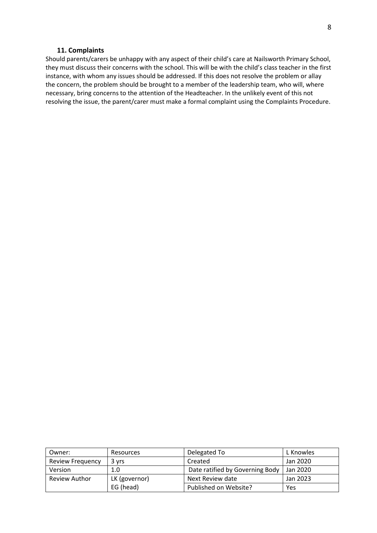#### **11. Complaints**

Should parents/carers be unhappy with any aspect of their child's care at Nailsworth Primary School, they must discuss their concerns with the school. This will be with the child's class teacher in the first instance, with whom any issues should be addressed. If this does not resolve the problem or allay the concern, the problem should be brought to a member of the leadership team, who will, where necessary, bring concerns to the attention of the Headteacher. In the unlikely event of this not resolving the issue, the parent/carer must make a formal complaint using the Complaints Procedure.

| Owner:                  | Resources     | Delegated To                    | L Knowles |
|-------------------------|---------------|---------------------------------|-----------|
| <b>Review Frequency</b> | 3 vrs         | Created                         | Jan 2020  |
| Version                 | 1.0           | Date ratified by Governing Body | Jan 2020  |
| Review Author           | LK (governor) | Next Review date                | Jan 2023  |
|                         | EG (head)     | Published on Website?           | Yes       |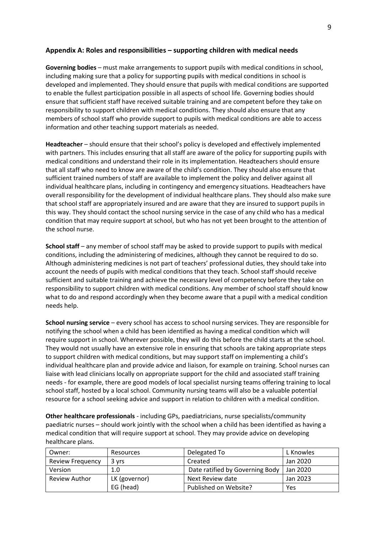#### **Appendix A: Roles and responsibilities – supporting children with medical needs**

**Governing bodies** – must make arrangements to support pupils with medical conditions in school, including making sure that a policy for supporting pupils with medical conditions in school is developed and implemented. They should ensure that pupils with medical conditions are supported to enable the fullest participation possible in all aspects of school life. Governing bodies should ensure that sufficient staff have received suitable training and are competent before they take on responsibility to support children with medical conditions. They should also ensure that any members of school staff who provide support to pupils with medical conditions are able to access information and other teaching support materials as needed.

**Headteacher** – should ensure that their school's policy is developed and effectively implemented with partners. This includes ensuring that all staff are aware of the policy for supporting pupils with medical conditions and understand their role in its implementation. Headteachers should ensure that all staff who need to know are aware of the child's condition. They should also ensure that sufficient trained numbers of staff are available to implement the policy and deliver against all individual healthcare plans, including in contingency and emergency situations. Headteachers have overall responsibility for the development of individual healthcare plans. They should also make sure that school staff are appropriately insured and are aware that they are insured to support pupils in this way. They should contact the school nursing service in the case of any child who has a medical condition that may require support at school, but who has not yet been brought to the attention of the school nurse.

**School staff** – any member of school staff may be asked to provide support to pupils with medical conditions, including the administering of medicines, although they cannot be required to do so. Although administering medicines is not part of teachers' professional duties, they should take into account the needs of pupils with medical conditions that they teach. School staff should receive sufficient and suitable training and achieve the necessary level of competency before they take on responsibility to support children with medical conditions. Any member of school staff should know what to do and respond accordingly when they become aware that a pupil with a medical condition needs help.

**School nursing service** – every school has access to school nursing services. They are responsible for notifying the school when a child has been identified as having a medical condition which will require support in school. Wherever possible, they will do this before the child starts at the school. They would not usually have an extensive role in ensuring that schools are taking appropriate steps to support children with medical conditions, but may support staff on implementing a child's individual healthcare plan and provide advice and liaison, for example on training. School nurses can liaise with lead clinicians locally on appropriate support for the child and associated staff training needs - for example, there are good models of local specialist nursing teams offering training to local school staff, hosted by a local school. Community nursing teams will also be a valuable potential resource for a school seeking advice and support in relation to children with a medical condition.

**Other healthcare professionals** - including GPs, paediatricians, nurse specialists/community paediatric nurses – should work jointly with the school when a child has been identified as having a medical condition that will require support at school. They may provide advice on developing healthcare plans.

| Owner:                  | Resources     | Delegated To                    | L Knowles |
|-------------------------|---------------|---------------------------------|-----------|
| <b>Review Frequency</b> | 3 yrs         | Created                         | Jan 2020  |
| Version                 | 1.0           | Date ratified by Governing Body | Jan 2020  |
| <b>Review Author</b>    | LK (governor) | Next Review date                | Jan 2023  |
|                         | EG (head)     | Published on Website?           | Yes       |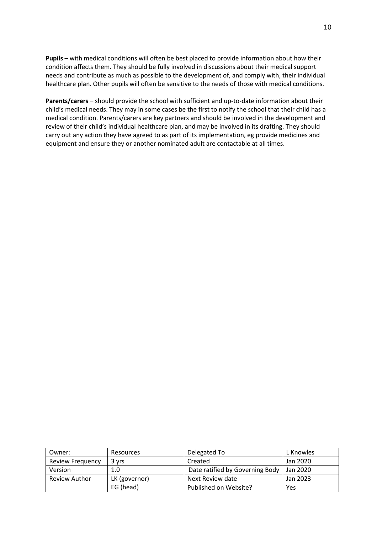**Pupils** – with medical conditions will often be best placed to provide information about how their condition affects them. They should be fully involved in discussions about their medical support needs and contribute as much as possible to the development of, and comply with, their individual healthcare plan. Other pupils will often be sensitive to the needs of those with medical conditions.

**Parents/carers** – should provide the school with sufficient and up-to-date information about their child's medical needs. They may in some cases be the first to notify the school that their child has a medical condition. Parents/carers are key partners and should be involved in the development and review of their child's individual healthcare plan, and may be involved in its drafting. They should carry out any action they have agreed to as part of its implementation, eg provide medicines and equipment and ensure they or another nominated adult are contactable at all times.

| Owner:                  | Resources     | Delegated To                    | L Knowles |
|-------------------------|---------------|---------------------------------|-----------|
| <b>Review Frequency</b> | 3 vrs         | Created                         | Jan 2020  |
| Version                 | 1.0           | Date ratified by Governing Body | Jan 2020  |
| <b>Review Author</b>    | LK (governor) | Next Review date                | Jan 2023  |
|                         | EG (head)     | Published on Website?           | Yes       |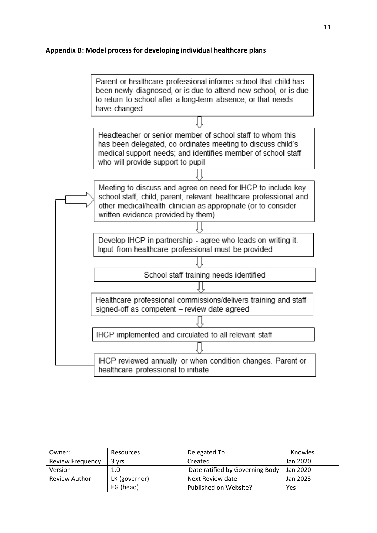# **Appendix B: Model process for developing individual healthcare plans**



| Owner:                  | Resources     | Delegated To                    | L Knowles |
|-------------------------|---------------|---------------------------------|-----------|
| <b>Review Frequency</b> | 3 vrs         | Created                         | Jan 2020  |
| Version                 | 1.0           | Date ratified by Governing Body | Jan 2020  |
| <b>Review Author</b>    | LK (governor) | Next Review date                | Jan 2023  |
|                         | EG (head)     | Published on Website?           | Yes       |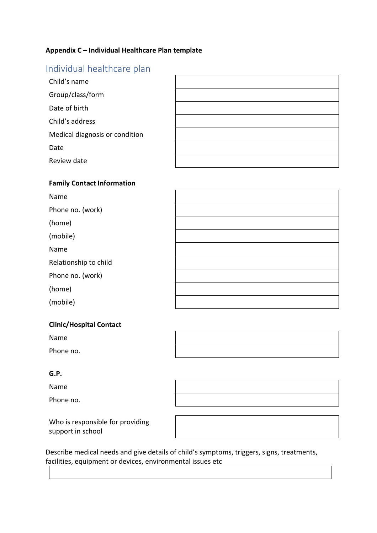# **Appendix C – Individual Healthcare Plan template**

# Individual healthcare plan

| Child's name                   |  |
|--------------------------------|--|
| Group/class/form               |  |
| Date of birth                  |  |
| Child's address                |  |
| Medical diagnosis or condition |  |
| Date                           |  |
| Review date                    |  |

# **Family Contact Information**

| Name                  |  |
|-----------------------|--|
| Phone no. (work)      |  |
| (home)                |  |
| (mobile)              |  |
| Name                  |  |
| Relationship to child |  |
| Phone no. (work)      |  |
| (home)                |  |
| (mobile)              |  |

# **Clinic/Hospital Contact**

Name

Phone no.

# **G.P.**

Name

Phone no.

Who is responsible for providing support in school

Describe medical needs and give details of child's symptoms, triggers, signs, treatments, facilities, equipment or devices, environmental issues etc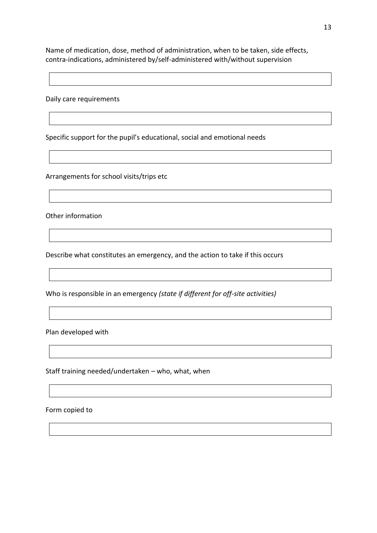Name of medication, dose, method of administration, when to be taken, side effects, contra-indications, administered by/self-administered with/without supervision

Daily care requirements

Specific support for the pupil's educational, social and emotional needs

Arrangements for school visits/trips etc

Other information

Describe what constitutes an emergency, and the action to take if this occurs

Who is responsible in an emergency *(state if different for off-site activities)*

Plan developed with

Staff training needed/undertaken – who, what, when

Form copied to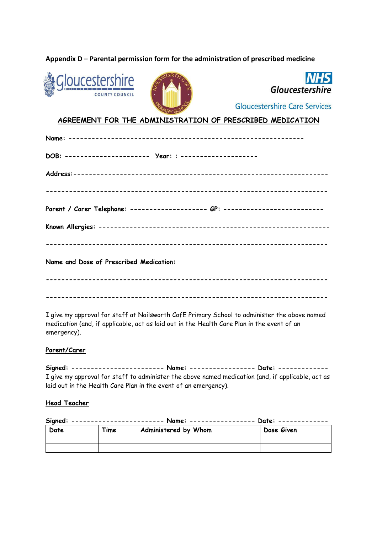# **Appendix D – Parental permission form for the administration of prescribed medicine**







**Gloucestershire Care Services** 

# **AGREEMENT FOR THE ADMINISTRATION OF PRESCRIBED MEDICATION**

| Name and Dose of Prescribed Medication: |
|-----------------------------------------|
|                                         |

I give my approval for staff at Nailsworth CofE Primary School to administer the above named medication (and, if applicable, act as laid out in the Health Care Plan in the event of an emergency).

**-------------------------------------------------------------------------**

#### **Parent/Carer**

**Signed: ------------------------ Name: ----------------- Date: -------------** I give my approval for staff to administer the above named medication (and, if applicable, act as laid out in the Health Care Plan in the event of an emergency).

#### **Head Teacher**

| Date | Time | Administered by Whom | Dose Given |
|------|------|----------------------|------------|
|      |      |                      |            |
|      |      |                      |            |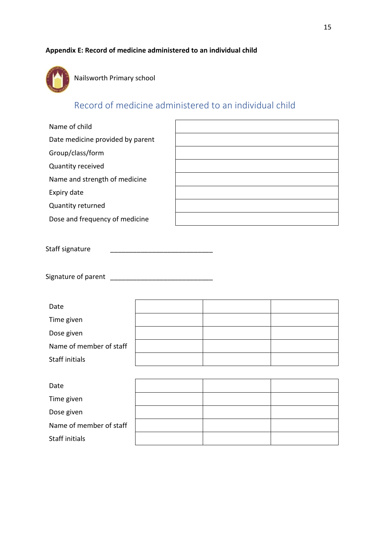# **Appendix E: Record of medicine administered to an individual child**



Nailsworth Primary school

# Record of medicine administered to an individual child

| Name of child                    |  |
|----------------------------------|--|
| Date medicine provided by parent |  |
| Group/class/form                 |  |
| Quantity received                |  |
| Name and strength of medicine    |  |
| Expiry date                      |  |
| Quantity returned                |  |
| Dose and frequency of medicine   |  |
|                                  |  |
| Staff signature                  |  |
| Signature of parent              |  |

| Date                    |  |  |
|-------------------------|--|--|
| Time given              |  |  |
| Dose given              |  |  |
| Name of member of staff |  |  |
| Staff initials          |  |  |
|                         |  |  |

| Date                    |  |  |
|-------------------------|--|--|
| Time given              |  |  |
| Dose given              |  |  |
| Name of member of staff |  |  |
| Staff initials          |  |  |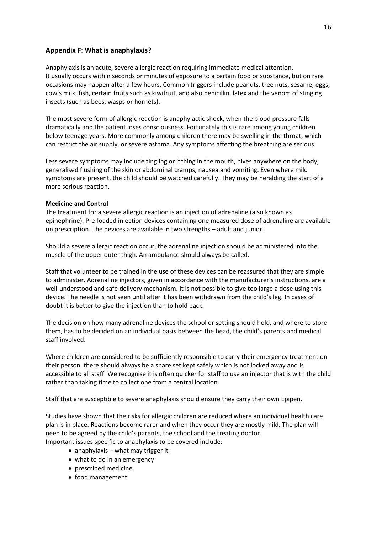#### **Appendix F**: **What is anaphylaxis?**

Anaphylaxis is an acute, severe allergic reaction requiring immediate medical attention. It usually occurs within seconds or minutes of exposure to a certain food or substance, but on rare occasions may happen after a few hours. Common triggers include peanuts, tree nuts, sesame, eggs, cow's milk, fish, certain fruits such as kiwifruit, and also penicillin, latex and the venom of stinging insects (such as bees, wasps or hornets).

The most severe form of allergic reaction is anaphylactic shock, when the blood pressure falls dramatically and the patient loses consciousness. Fortunately this is rare among young children below teenage years. More commonly among children there may be swelling in the throat, which can restrict the air supply, or severe asthma. Any symptoms affecting the breathing are serious.

Less severe symptoms may include tingling or itching in the mouth, hives anywhere on the body, generalised flushing of the skin or abdominal cramps, nausea and vomiting. Even where mild symptoms are present, the child should be watched carefully. They may be heralding the start of a more serious reaction.

#### **Medicine and Control**

The treatment for a severe allergic reaction is an injection of adrenaline (also known as epinephrine). Pre-loaded injection devices containing one measured dose of adrenaline are available on prescription. The devices are available in two strengths – adult and junior.

Should a severe allergic reaction occur, the adrenaline injection should be administered into the muscle of the upper outer thigh. An ambulance should always be called.

Staff that volunteer to be trained in the use of these devices can be reassured that they are simple to administer. Adrenaline injectors, given in accordance with the manufacturer's instructions, are a well-understood and safe delivery mechanism. It is not possible to give too large a dose using this device. The needle is not seen until after it has been withdrawn from the child's leg. In cases of doubt it is better to give the injection than to hold back.

The decision on how many adrenaline devices the school or setting should hold, and where to store them, has to be decided on an individual basis between the head, the child's parents and medical staff involved.

Where children are considered to be sufficiently responsible to carry their emergency treatment on their person, there should always be a spare set kept safely which is not locked away and is accessible to all staff. We recognise it is often quicker for staff to use an injector that is with the child rather than taking time to collect one from a central location.

Staff that are susceptible to severe anaphylaxis should ensure they carry their own Epipen.

Studies have shown that the risks for allergic children are reduced where an individual health care plan is in place. Reactions become rarer and when they occur they are mostly mild. The plan will need to be agreed by the child's parents, the school and the treating doctor. Important issues specific to anaphylaxis to be covered include:

- anaphylaxis what may trigger it
- what to do in an emergency
- prescribed medicine
- food management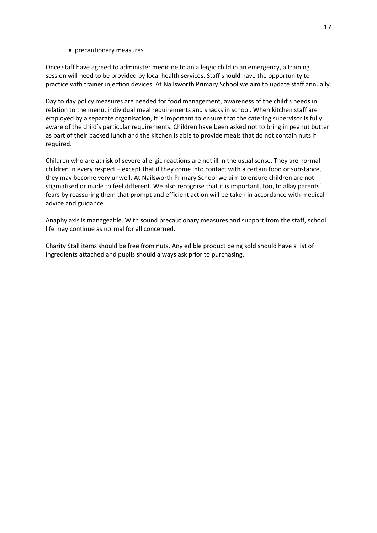#### • precautionary measures

Once staff have agreed to administer medicine to an allergic child in an emergency, a training session will need to be provided by local health services. Staff should have the opportunity to practice with trainer injection devices. At Nailsworth Primary School we aim to update staff annually.

Day to day policy measures are needed for food management, awareness of the child's needs in relation to the menu, individual meal requirements and snacks in school. When kitchen staff are employed by a separate organisation, it is important to ensure that the catering supervisor is fully aware of the child's particular requirements. Children have been asked not to bring in peanut butter as part of their packed lunch and the kitchen is able to provide meals that do not contain nuts if required.

Children who are at risk of severe allergic reactions are not ill in the usual sense. They are normal children in every respect – except that if they come into contact with a certain food or substance, they may become very unwell. At Nailsworth Primary School we aim to ensure children are not stigmatised or made to feel different. We also recognise that it is important, too, to allay parents' fears by reassuring them that prompt and efficient action will be taken in accordance with medical advice and guidance.

Anaphylaxis is manageable. With sound precautionary measures and support from the staff, school life may continue as normal for all concerned.

Charity Stall items should be free from nuts. Any edible product being sold should have a list of ingredients attached and pupils should always ask prior to purchasing.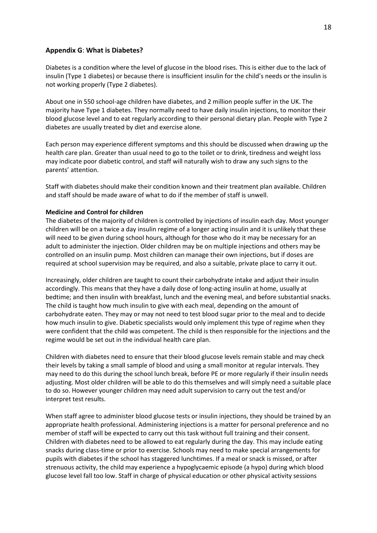#### **Appendix G**: **What is Diabetes?**

Diabetes is a condition where the level of glucose in the blood rises. This is either due to the lack of insulin (Type 1 diabetes) or because there is insufficient insulin for the child's needs or the insulin is not working properly (Type 2 diabetes).

About one in 550 school-age children have diabetes, and 2 million people suffer in the UK. The majority have Type 1 diabetes. They normally need to have daily insulin injections, to monitor their blood glucose level and to eat regularly according to their personal dietary plan. People with Type 2 diabetes are usually treated by diet and exercise alone.

Each person may experience different symptoms and this should be discussed when drawing up the health care plan. Greater than usual need to go to the toilet or to drink, tiredness and weight loss may indicate poor diabetic control, and staff will naturally wish to draw any such signs to the parents' attention.

Staff with diabetes should make their condition known and their treatment plan available. Children and staff should be made aware of what to do if the member of staff is unwell.

#### **Medicine and Control for children**

The diabetes of the majority of children is controlled by injections of insulin each day. Most younger children will be on a twice a day insulin regime of a longer acting insulin and it is unlikely that these will need to be given during school hours, although for those who do it may be necessary for an adult to administer the injection. Older children may be on multiple injections and others may be controlled on an insulin pump. Most children can manage their own injections, but if doses are required at school supervision may be required, and also a suitable, private place to carry it out.

Increasingly, older children are taught to count their carbohydrate intake and adjust their insulin accordingly. This means that they have a daily dose of long-acting insulin at home, usually at bedtime; and then insulin with breakfast, lunch and the evening meal, and before substantial snacks. The child is taught how much insulin to give with each meal, depending on the amount of carbohydrate eaten. They may or may not need to test blood sugar prior to the meal and to decide how much insulin to give. Diabetic specialists would only implement this type of regime when they were confident that the child was competent. The child is then responsible for the injections and the regime would be set out in the individual health care plan.

Children with diabetes need to ensure that their blood glucose levels remain stable and may check their levels by taking a small sample of blood and using a small monitor at regular intervals. They may need to do this during the school lunch break, before PE or more regularly if their insulin needs adjusting. Most older children will be able to do this themselves and will simply need a suitable place to do so. However younger children may need adult supervision to carry out the test and/or interpret test results.

When staff agree to administer blood glucose tests or insulin injections, they should be trained by an appropriate health professional. Administering injections is a matter for personal preference and no member of staff will be expected to carry out this task without full training and their consent. Children with diabetes need to be allowed to eat regularly during the day. This may include eating snacks during class-time or prior to exercise. Schools may need to make special arrangements for pupils with diabetes if the school has staggered lunchtimes. If a meal or snack is missed, or after strenuous activity, the child may experience a hypoglycaemic episode (a hypo) during which blood glucose level fall too low. Staff in charge of physical education or other physical activity sessions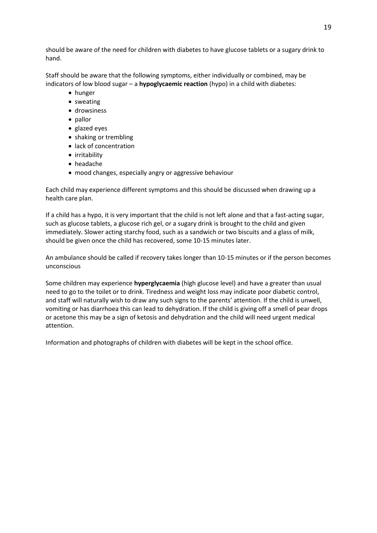should be aware of the need for children with diabetes to have glucose tablets or a sugary drink to hand.

Staff should be aware that the following symptoms, either individually or combined, may be indicators of low blood sugar – a **hypoglycaemic reaction** (hypo) in a child with diabetes:

- hunger
- sweating
- drowsiness
- pallor
- glazed eyes
- shaking or trembling
- lack of concentration
- irritability
- headache
- mood changes, especially angry or aggressive behaviour

Each child may experience different symptoms and this should be discussed when drawing up a health care plan.

If a child has a hypo, it is very important that the child is not left alone and that a fast-acting sugar, such as glucose tablets, a glucose rich gel, or a sugary drink is brought to the child and given immediately. Slower acting starchy food, such as a sandwich or two biscuits and a glass of milk, should be given once the child has recovered, some 10-15 minutes later.

An ambulance should be called if recovery takes longer than 10-15 minutes or if the person becomes unconscious

Some children may experience **hyperglycaemia** (high glucose level) and have a greater than usual need to go to the toilet or to drink. Tiredness and weight loss may indicate poor diabetic control, and staff will naturally wish to draw any such signs to the parents' attention. If the child is unwell, vomiting or has diarrhoea this can lead to dehydration. If the child is giving off a smell of pear drops or acetone this may be a sign of ketosis and dehydration and the child will need urgent medical attention.

Information and photographs of children with diabetes will be kept in the school office.